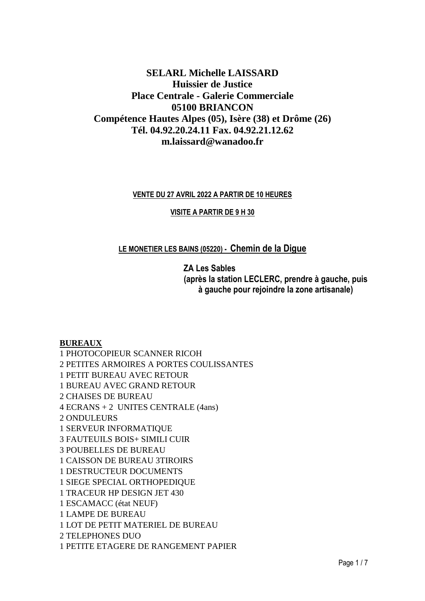# **SELARL Michelle LAISSARD Huissier de Justice Place Centrale - Galerie Commerciale 05100 BRIANCON Compétence Hautes Alpes (05), Isère (38) et Drôme (26) Tél. 04.92.20.24.11 Fax. 04.92.21.12.62 m.laissard@wanadoo.fr**

#### **VENTE DU 27 AVRIL 2022 A PARTIR DE 10 HEURES**

#### **VISITE A PARTIR DE 9 H 30**

# **LE MONETIER LES BAINS (05220) - Chemin de la Digue**

**ZA Les Sables (après la station LECLERC, prendre à gauche, puis à gauche pour rejoindre la zone artisanale)**

### **BUREAUX**

1 PHOTOCOPIEUR SCANNER RICOH 2 PETITES ARMOIRES A PORTES COULISSANTES 1 PETIT BUREAU AVEC RETOUR 1 BUREAU AVEC GRAND RETOUR 2 CHAISES DE BUREAU 4 ECRANS + 2 UNITES CENTRALE (4ans) 2 ONDULEURS 1 SERVEUR INFORMATIQUE 3 FAUTEUILS BOIS+ SIMILI CUIR 3 POUBELLES DE BUREAU 1 CAISSON DE BUREAU 3TIROIRS 1 DESTRUCTEUR DOCUMENTS 1 SIEGE SPECIAL ORTHOPEDIQUE 1 TRACEUR HP DESIGN JET 430 1 ESCAMACC (état NEUF) 1 LAMPE DE BUREAU 1 LOT DE PETIT MATERIEL DE BUREAU 2 TELEPHONES DUO 1 PETITE ETAGERE DE RANGEMENT PAPIER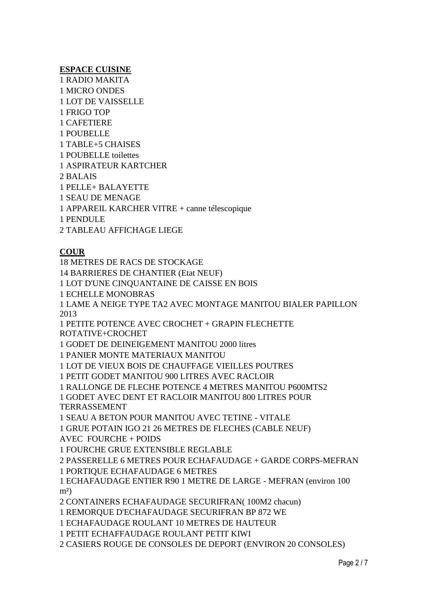#### **ESPACE CUISINE**

1 RADIO MAKITA 1 MICRO ONDES 1 LOT DE VAISSELLE 1 FRIGO TOP 1 CAFETIERE 1 POUBELLE 1 TABLE+5 CHAISES 1 POUBELLE toilettes 1 ASPIRATEUR KARTCHER

2 BALAIS

1 PELLE+ BALAYETTE

1 SEAU DE MENAGE

1 APPAREIL KARCHER VITRE + canne télescopique

1 PENDULE

2 TABLEAU AFFICHAGE LIEGE

## **COUR**

18 METRES DE RACS DE STOCKAGE 14 BARRIERES DE CHANTIER (Etat NEUF) 1 LOT D'UNE CINQUANTAINE DE CAISSE EN BOIS 1 ECHELLE MONOBRAS 1 LAME A NEIGE TYPE TA2 AVEC MONTAGE MANITOU BIALER PAPILLON 2013 1 PETITE POTENCE AVEC CROCHET + GRAPIN FLECHETTE ROTATIVE+CROCHET 1 GODET DE DEINEIGEMENT MANITOU 2000 litres 1 PANIER MONTE MATERIAUX MANITOU 1 LOT DE VIEUX BOIS DE CHAUFFAGE VIEILLES POUTRES 1 PETIT GODET MANITOU 900 LITRES AVEC RACLOIR 1 RALLONGE DE FLECHE POTENCE 4 METRES MANITOU P600MTS2 1 GODET AVEC DENT ET RACLOIR MANITOU 800 LITRES POUR TERRASSEMENT 1 SEAU A BETON POUR MANITOU AVEC TETINE - VITALE 1 GRUE POTAIN IGO 21 26 METRES DE FLECHES (CABLE NEUF) AVEC FOURCHE + POIDS 1 FOURCHE GRUE EXTENSIBLE REGLABLE 2 PASSERELLE 6 METRES POUR ECHAFAUDAGE + GARDE CORPS-MEFRAN 1 PORTIQUE ECHAFAUDAGE 6 METRES 1 ECHAFAUDAGE ENTIER R90 1 METRE DE LARGE - MEFRAN (environ 100

 $m<sup>2</sup>$ )

2 CONTAINERS ECHAFAUDAGE SECURIFRAN( 100M2 chacun)

1 REMORQUE D'ECHAFAUDAGE SECURIFRAN BP 872 WE

1 ECHAFAUDAGE ROULANT 10 METRES DE HAUTEUR

1 PETIT ECHAFFAUDAGE ROULANT PETIT KIWI

2 CASIERS ROUGE DE CONSOLES DE DEPORT (ENVIRON 20 CONSOLES)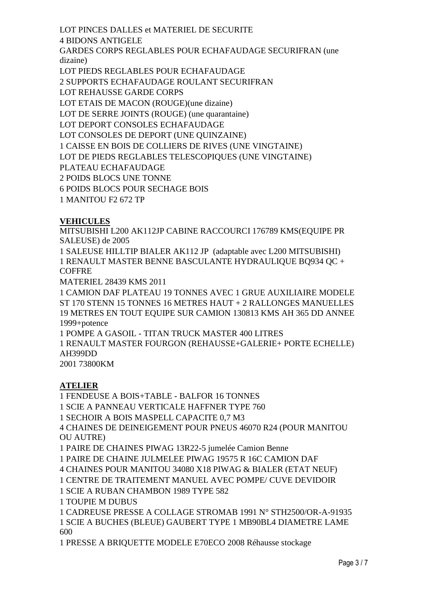LOT PINCES DALLES et MATERIEL DE SECURITE

4 BIDONS ANTIGELE

GARDES CORPS REGLABLES POUR ECHAFAUDAGE SECURIFRAN (une dizaine)

LOT PIEDS REGLABLES POUR ECHAFAUDAGE

2 SUPPORTS ECHAFAUDAGE ROULANT SECURIFRAN

LOT REHAUSSE GARDE CORPS

LOT ETAIS DE MACON (ROUGE)(une dizaine)

LOT DE SERRE JOINTS (ROUGE) (une quarantaine)

LOT DEPORT CONSOLES ECHAFAUDAGE

LOT CONSOLES DE DEPORT (UNE QUINZAINE)

1 CAISSE EN BOIS DE COLLIERS DE RIVES (UNE VINGTAINE)

LOT DE PIEDS REGLABLES TELESCOPIQUES (UNE VINGTAINE)

PLATEAU ECHAFAUDAGE

2 POIDS BLOCS UNE TONNE

6 POIDS BLOCS POUR SECHAGE BOIS

1 MANITOU F2 672 TP

# **VEHICULES**

MITSUBISHI L200 AK112JP CABINE RACCOURCI 176789 KMS(EQUIPE PR SALEUSE) de 2005

1 SALEUSE HILLTIP BIALER AK112 JP (adaptable avec L200 MITSUBISHI) 1 RENAULT MASTER BENNE BASCULANTE HYDRAULIQUE BQ934 QC + **COFFRE** 

MATERIEL 28439 KMS 2011

1 CAMION DAF PLATEAU 19 TONNES AVEC 1 GRUE AUXILIAIRE MODELE ST 170 STENN 15 TONNES 16 METRES HAUT + 2 RALLONGES MANUELLES 19 METRES EN TOUT EQUIPE SUR CAMION 130813 KMS AH 365 DD ANNEE 1999+potence

1 POMPE A GASOIL - TITAN TRUCK MASTER 400 LITRES

1 RENAULT MASTER FOURGON (REHAUSSE+GALERIE+ PORTE ECHELLE) AH399DD

2001 73800KM

# **ATELIER**

1 FENDEUSE A BOIS+TABLE - BALFOR 16 TONNES

1 SCIE A PANNEAU VERTICALE HAFFNER TYPE 760

1 SECHOIR A BOIS MASPELL CAPACITE 0,7 M3

4 CHAINES DE DEINEIGEMENT POUR PNEUS 46070 R24 (POUR MANITOU OU AUTRE)

1 PAIRE DE CHAINES PIWAG 13R22-5 jumelée Camion Benne

1 PAIRE DE CHAINE JULMELEE PIWAG 19575 R 16C CAMION DAF

4 CHAINES POUR MANITOU 34080 X18 PIWAG & BIALER (ETAT NEUF)

1 CENTRE DE TRAITEMENT MANUEL AVEC POMPE/ CUVE DEVIDOIR

1 SCIE A RUBAN CHAMBON 1989 TYPE 582

1 TOUPIE M DUBUS

1 CADREUSE PRESSE A COLLAGE STROMAB 1991 N° STH2500/OR-A-91935 1 SCIE A BUCHES (BLEUE) GAUBERT TYPE 1 MB90BL4 DIAMETRE LAME 600

1 PRESSE A BRIQUETTE MODELE E70ECO 2008 Réhausse stockage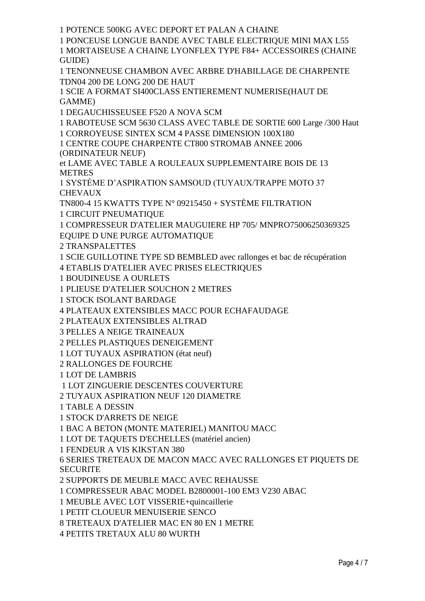1 POTENCE 500KG AVEC DEPORT ET PALAN A CHAINE

1 PONCEUSE LONGUE BANDE AVEC TABLE ELECTRIQUE MINI MAX L55 1 MORTAISEUSE A CHAINE LYONFLEX TYPE F84+ ACCESSOIRES (CHAINE GUIDE)

1 TENONNEUSE CHAMBON AVEC ARBRE D'HABILLAGE DE CHARPENTE TDN04 200 DE LONG 200 DE HAUT

1 SCIE A FORMAT SI400CLASS ENTIEREMENT NUMERISE(HAUT DE GAMME)

1 DEGAUCHISSEUSEE F520 A NOVA SCM

1 RABOTEUSE SCM 5630 CLASS AVEC TABLE DE SORTIE 600 Large /300 Haut

1 CORROYEUSE SINTEX SCM 4 PASSE DIMENSION 100X180

1 CENTRE COUPE CHARPENTE CT800 STROMAB ANNEE 2006 (ORDINATEUR NEUF)

et LAME AVEC TABLE A ROULEAUX SUPPLEMENTAIRE BOIS DE 13 METRES

1 SYSTÈME D'ASPIRATION SAMSOUD (TUYAUX/TRAPPE MOTO 37 **CHEVAUX** 

TN800-4 15 KWATTS TYPE N° 09215450 + SYSTÈME FILTRATION

1 CIRCUIT PNEUMATIQUE

1 COMPRESSEUR D'ATELIER MAUGUIERE HP 705/ MNPRO75006250369325

EQUIPE D UNE PURGE AUTOMATIQUE

2 TRANSPALETTES

1 SCIE GUILLOTINE TYPE SD BEMBLED avec rallonges et bac de récupération

4 ETABLIS D'ATELIER AVEC PRISES ELECTRIQUES

1 BOUDINEUSE A OURLETS

1 PLIEUSE D'ATELIER SOUCHON 2 METRES

1 STOCK ISOLANT BARDAGE

4 PLATEAUX EXTENSIBLES MACC POUR ECHAFAUDAGE

2 PLATEAUX EXTENSIBLES ALTRAD

3 PELLES A NEIGE TRAINEAUX

2 PELLES PLASTIQUES DENEIGEMENT

1 LOT TUYAUX ASPIRATION (état neuf)

2 RALLONGES DE FOURCHE

1 LOT DE LAMBRIS

1 LOT ZINGUERIE DESCENTES COUVERTURE

2 TUYAUX ASPIRATION NEUF 120 DIAMETRE

1 TABLE A DESSIN

1 STOCK D'ARRETS DE NEIGE

1 BAC A BETON (MONTE MATERIEL) MANITOU MACC

1 LOT DE TAQUETS D'ECHELLES (matériel ancien)

1 FENDEUR A VIS KIKSTAN 380

6 SERIES TRETEAUX DE MACON MACC AVEC RALLONGES ET PIQUETS DE **SECURITE** 

2 SUPPORTS DE MEUBLE MACC AVEC REHAUSSE

1 COMPRESSEUR ABAC MODEL B2800001-100 EM3 V230 ABAC

1 MEUBLE AVEC LOT VISSERIE+quincaillerie

1 PETIT CLOUEUR MENUISERIE SENCO

8 TRETEAUX D'ATELIER MAC EN 80 EN 1 METRE

4 PETITS TRETAUX ALU 80 WURTH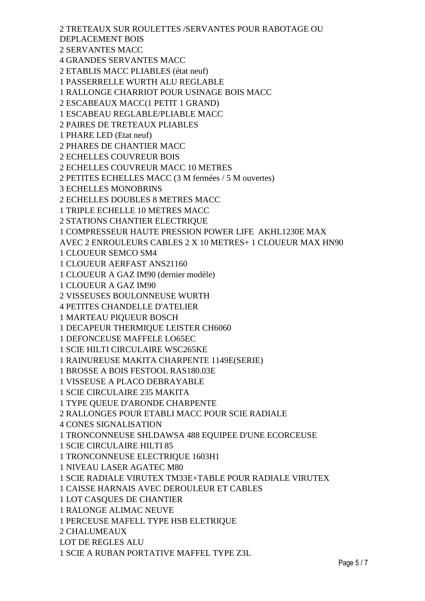2 TRETEAUX SUR ROULETTES /SERVANTES POUR RABOTAGE OU DEPLACEMENT BOIS 2 SERVANTES MACC 4 GRANDES SERVANTES MACC 2 ETABLIS MACC PLIABLES (état neuf) 1 PASSERRELLE WURTH ALU REGLABLE 1 RALLONGE CHARRIOT POUR USINAGE BOIS MACC 2 ESCABEAUX MACC(1 PETIT 1 GRAND) 1 ESCABEAU REGLABLE/PLIABLE MACC 2 PAIRES DE TRETEAUX PLIABLES 1 PHARE LED (Etat neuf) 2 PHARES DE CHANTIER MACC 2 ECHELLES COUVREUR BOIS 2 ECHELLES COUVREUR MACC 10 METRES 2 PETITES ECHELLES MACC (3 M fermées / 5 M ouvertes) 3 ECHELLES MONOBRINS 2 ECHELLES DOUBLES 8 METRES MACC 1 TRIPLE ECHELLE 10 METRES MACC 2 STATIONS CHANTIER ELECTRIQUE 1 COMPRESSEUR HAUTE PRESSION POWER LIFE AKHL1230E MAX AVEC 2 ENROULEURS CABLES 2 X 10 METRES+ 1 CLOUEUR MAX HN90 1 CLOUEUR SEMCO SM4 1 CLOUEUR AERFAST ANS21160 1 CLOUEUR A GAZ IM90 (dernier modèle) 1 CLOUEUR A GAZ IM90 2 VISSEUSES BOULONNEUSE WURTH 4 PETITES CHANDELLE D'ATELIER 1 MARTEAU PIQUEUR BOSCH 1 DECAPEUR THERMIQUE LEISTER CH6060 1 DEFONCEUSE MAFFELE LO65EC 1 SCIE HILTI CIRCULAIRE WSC265KE 1 RAINUREUSE MAKITA CHARPENTE 1149E(SERIE) 1 BROSSE A BOIS FESTOOL RAS180.03E 1 VISSEUSE A PLACO DEBRAYABLE 1 SCIE CIRCULAIRE 235 MAKITA 1 TYPE QUEUE D'ARONDE CHARPENTE 2 RALLONGES POUR ETABLI MACC POUR SCIE RADIALE 4 CONES SIGNALISATION 1 TRONCONNEUSE SHLDAWSA 488 EQUIPEE D'UNE ECORCEUSE 1 SCIE CIRCULAIRE HILTI 85 1 TRONCONNEUSE ELECTRIQUE 1603H1 1 NIVEAU LASER AGATEC M80 1 SCIE RADIALE VIRUTEX TM33E+TABLE POUR RADIALE VIRUTEX 1 CAISSE HARNAIS AVEC DEROULEUR ET CABLES 1 LOT CASQUES DE CHANTIER 1 RALONGE ALIMAC NEUVE 1 PERCEUSE MAFELL TYPE HSB ELETRIQUE 2 CHALUMEAUX LOT DE REGLES ALU 1 SCIE A RUBAN PORTATIVE MAFFEL TYPE Z3L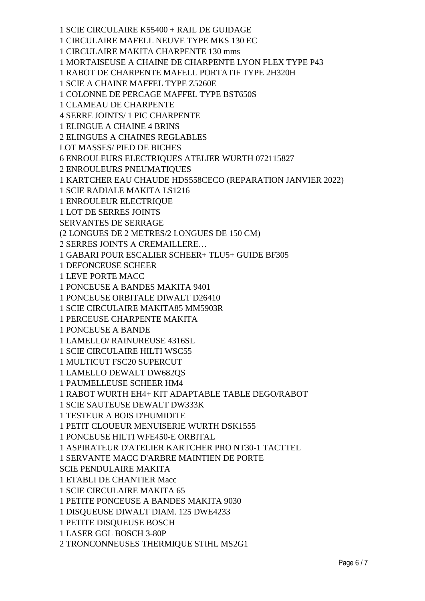1 SCIE CIRCULAIRE K55400 + RAIL DE GUIDAGE 1 CIRCULAIRE MAFELL NEUVE TYPE MKS 130 EC 1 CIRCULAIRE MAKITA CHARPENTE 130 mms 1 MORTAISEUSE A CHAINE DE CHARPENTE LYON FLEX TYPE P43 1 RABOT DE CHARPENTE MAFELL PORTATIF TYPE 2H320H 1 SCIE A CHAINE MAFFEL TYPE Z5260E 1 COLONNE DE PERCAGE MAFFEL TYPE BST650S 1 CLAMEAU DE CHARPENTE 4 SERRE JOINTS/ 1 PIC CHARPENTE 1 ELINGUE A CHAINE 4 BRINS 2 ELINGUES A CHAINES REGLABLES LOT MASSES/ PIED DE BICHES 6 ENROULEURS ELECTRIQUES ATELIER WURTH 072115827 2 ENROULEURS PNEUMATIQUES 1 KARTCHER EAU CHAUDE HDS558CECO (REPARATION JANVIER 2022) 1 SCIE RADIALE MAKITA LS1216 1 ENROULEUR ELECTRIQUE 1 LOT DE SERRES JOINTS SERVANTES DE SERRAGE (2 LONGUES DE 2 METRES/2 LONGUES DE 150 CM) 2 SERRES JOINTS A CREMAILLERE… 1 GABARI POUR ESCALIER SCHEER+ TLU5+ GUIDE BF305 1 DEFONCEUSE SCHEER 1 LEVE PORTE MACC 1 PONCEUSE A BANDES MAKITA 9401 1 PONCEUSE ORBITALE DIWALT D26410 1 SCIE CIRCULAIRE MAKITA85 MM5903R 1 PERCEUSE CHARPENTE MAKITA 1 PONCEUSE A BANDE 1 LAMELLO/ RAINUREUSE 4316SL 1 SCIE CIRCULAIRE HILTI WSC55 1 MULTICUT FSC20 SUPERCUT 1 LAMELLO DEWALT DW682QS 1 PAUMELLEUSE SCHEER HM4 1 RABOT WURTH EH4+ KIT ADAPTABLE TABLE DEGO/RABOT 1 SCIE SAUTEUSE DEWALT DW333K 1 TESTEUR A BOIS D'HUMIDITE 1 PETIT CLOUEUR MENUISERIE WURTH DSK1555 1 PONCEUSE HILTI WFE450-E ORBITAL 1 ASPIRATEUR D'ATELIER KARTCHER PRO NT30-1 TACTTEL 1 SERVANTE MACC D'ARBRE MAINTIEN DE PORTE SCIE PENDULAIRE MAKITA 1 ETABLI DE CHANTIER Macc 1 SCIE CIRCULAIRE MAKITA 65 1 PETITE PONCEUSE A BANDES MAKITA 9030 1 DISQUEUSE DIWALT DIAM. 125 DWE4233 1 PETITE DISQUEUSE BOSCH 1 LASER GGL BOSCH 3-80P 2 TRONCONNEUSES THERMIQUE STIHL MS2G1